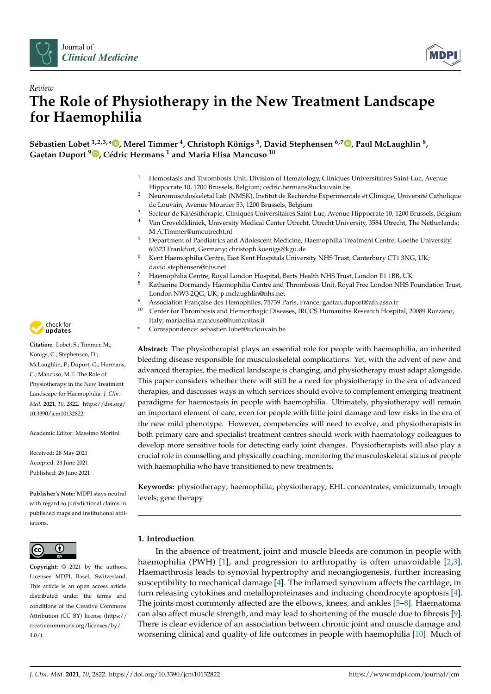



# *Review* **The Role of Physiotherapy in the New Treatment Landscape for Haemophilia**

**Sébastien Lobet 1,2,3,\* [,](https://orcid.org/0000-0002-3829-6850) Merel Timmer <sup>4</sup> , Christoph Königs <sup>5</sup> , David Stephensen 6,7 [,](https://orcid.org/0000-0002-6175-3343) Paul McLaughlin <sup>8</sup> , Gaetan Duport <sup>9</sup> [,](https://orcid.org/0000-0001-9632-8331) Cédric Hermans <sup>1</sup> and Maria Elisa Mancuso <sup>10</sup>**

- <sup>1</sup> Hemostasis and Thrombosis Unit, Division of Hematology, Cliniques Universitaires Saint-Luc, Avenue Hippocrate 10, 1200 Brussels, Belgium; cedric.hermans@uclouvain.be
- <sup>2</sup> Neuromusculoskeletal Lab (NMSK), Institut de Recherche Expérimentale et Clinique, Université Catholique de Louvain, Avenue Mounier 53, 1200 Brussels, Belgium
- <sup>3</sup> Secteur de Kinésithérapie, Cliniques Universitaires Saint-Luc, Avenue Hippocrate 10, 1200 Brussels, Belgium<br><sup>4</sup> Van Croveldkliniek, University Medical Conter Utrocht Utrocht University, <sup>3584</sup> Utrocht, The Netherlands: <sup>4</sup> Van Creveldkliniek, University Medical Center Utrecht, Utrecht University, 3584 Utrecht, The Netherlands;
- M.A.Timmer@umcutrecht.nl
- <sup>5</sup> Department of Paediatrics and Adolescent Medicine, Haemophilia Treatment Centre, Goethe University, 60323 Frankfurt, Germany; christoph.koenigs@kgu.de
- <sup>6</sup> Kent Haemophilia Centre, East Kent Hospitals University NHS Trust, Canterbury CT1 3NG, UK; david.stephensen@nhs.net
- 7 Haemophilia Centre, Royal London Hospital, Barts Health NHS Trust, London E1 1BB, UK<br>8 Katharina Dormandy Haemophilia Centre and Thrombosis Unit, Boyal Free London NHS E
- <sup>8</sup> Katharine Dormandy Haemophilia Centre and Thrombosis Unit, Royal Free London NHS Foundation Trust, London NW3 2QG, UK; p.mclaughlin@nhs.net
- <sup>9</sup> Association Française des Hemophiles, 75739 Paris, France; gaetan.duport@afh.asso.fr
- <sup>10</sup> Center for Thrombosis and Hemorrhagic Diseases, IRCCS Humanitas Research Hospital, 20089 Rozzano, Italy; mariaelisa.mancuso@humanitas.it
- **\*** Correspondence: sebastien.lobet@uclouvain.be

**Abstract:** The physiotherapist plays an essential role for people with haemophilia, an inherited bleeding disease responsible for musculoskeletal complications. Yet, with the advent of new and advanced therapies, the medical landscape is changing, and physiotherapy must adapt alongside. This paper considers whether there will still be a need for physiotherapy in the era of advanced therapies, and discusses ways in which services should evolve to complement emerging treatment paradigms for haemostasis in people with haemophilia. Ultimately, physiotherapy will remain an important element of care, even for people with little joint damage and low risks in the era of the new mild phenotype. However, competencies will need to evolve, and physiotherapists in both primary care and specialist treatment centres should work with haematology colleagues to develop more sensitive tools for detecting early joint changes. Physiotherapists will also play a crucial role in counselling and physically coaching, monitoring the musculoskeletal status of people with haemophilia who have transitioned to new treatments.

**Keywords:** physiotherapy; haemophilia; physiotherapy; EHL concentrates; emicizumab; trough levels; gene therapy

# **1. Introduction**

In the absence of treatment, joint and muscle bleeds are common in people with haemophilia (PWH) [\[1\]](#page-8-0), and progression to arthropathy is often unavoidable [\[2,](#page-8-1)[3\]](#page-8-2). Haemarthrosis leads to synovial hypertrophy and neoangiogenesis, further increasing susceptibility to mechanical damage [\[4\]](#page-8-3). The inflamed synovium affects the cartilage, in turn releasing cytokines and metalloproteinases and inducing chondrocyte apoptosis [\[4\]](#page-8-3). The joints most commonly affected are the elbows, knees, and ankles [\[5](#page-8-4)[–8\]](#page-8-5). Haematoma can also affect muscle strength, and may lead to shortening of the muscle due to fibrosis [\[9\]](#page-8-6). There is clear evidence of an association between chronic joint and muscle damage and worsening clinical and quality of life outcomes in people with haemophilia [\[10\]](#page-8-7). Much of



**Citation:** Lobet, S.; Timmer, M.; Königs, C.; Stephensen, D.; McLaughlin, P.; Duport, G.; Hermans, C.; Mancuso, M.E. The Role of Physiotherapy in the New Treatment Landscape for Haemophilia. *J. Clin. Med.* **2021**, *10*, 2822. [https://doi.org/](https://doi.org/10.3390/jcm10132822) [10.3390/jcm10132822](https://doi.org/10.3390/jcm10132822)

Academic Editor: Massimo Morfini

Received: 28 May 2021 Accepted: 23 June 2021 Published: 26 June 2021

**Publisher's Note:** MDPI stays neutral with regard to jurisdictional claims in published maps and institutional affiliations.



**Copyright:** © 2021 by the authors. Licensee MDPI, Basel, Switzerland. This article is an open access article distributed under the terms and conditions of the Creative Commons Attribution (CC BY) license (https:/[/](https://creativecommons.org/licenses/by/4.0/) [creativecommons.org/licenses/by/](https://creativecommons.org/licenses/by/4.0/)  $4.0/$ ).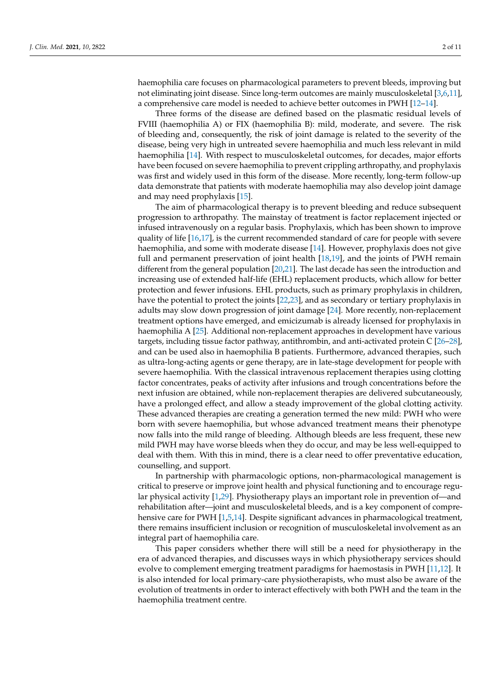haemophilia care focuses on pharmacological parameters to prevent bleeds, improving but not eliminating joint disease. Since long-term outcomes are mainly musculoskeletal [\[3](#page-8-2)[,6](#page-8-8)[,11\]](#page-8-9), a comprehensive care model is needed to achieve better outcomes in PWH [\[12–](#page-8-10)[14\]](#page-8-11).

Three forms of the disease are defined based on the plasmatic residual levels of FVIII (haemophilia A) or FIX (haemophilia B): mild, moderate, and severe. The risk of bleeding and, consequently, the risk of joint damage is related to the severity of the disease, being very high in untreated severe haemophilia and much less relevant in mild haemophilia [\[14\]](#page-8-11). With respect to musculoskeletal outcomes, for decades, major efforts have been focused on severe haemophilia to prevent crippling arthropathy, and prophylaxis was first and widely used in this form of the disease. More recently, long-term follow-up data demonstrate that patients with moderate haemophilia may also develop joint damage and may need prophylaxis [\[15\]](#page-9-0).

The aim of pharmacological therapy is to prevent bleeding and reduce subsequent progression to arthropathy. The mainstay of treatment is factor replacement injected or infused intravenously on a regular basis. Prophylaxis, which has been shown to improve quality of life [\[16](#page-9-1)[,17\]](#page-9-2), is the current recommended standard of care for people with severe haemophilia, and some with moderate disease [\[14\]](#page-8-11). However, prophylaxis does not give full and permanent preservation of joint health [\[18](#page-9-3)[,19\]](#page-9-4), and the joints of PWH remain different from the general population [\[20](#page-9-5)[,21\]](#page-9-6). The last decade has seen the introduction and increasing use of extended half-life (EHL) replacement products, which allow for better protection and fewer infusions. EHL products, such as primary prophylaxis in children, have the potential to protect the joints [\[22](#page-9-7)[,23\]](#page-9-8), and as secondary or tertiary prophylaxis in adults may slow down progression of joint damage [\[24\]](#page-9-9). More recently, non-replacement treatment options have emerged, and emicizumab is already licensed for prophylaxis in haemophilia A [\[25\]](#page-9-10). Additional non-replacement approaches in development have various targets, including tissue factor pathway, antithrombin, and anti-activated protein C [\[26–](#page-9-11)[28\]](#page-9-12), and can be used also in haemophilia B patients. Furthermore, advanced therapies, such as ultra-long-acting agents or gene therapy, are in late-stage development for people with severe haemophilia. With the classical intravenous replacement therapies using clotting factor concentrates, peaks of activity after infusions and trough concentrations before the next infusion are obtained, while non-replacement therapies are delivered subcutaneously, have a prolonged effect, and allow a steady improvement of the global clotting activity. These advanced therapies are creating a generation termed the new mild: PWH who were born with severe haemophilia, but whose advanced treatment means their phenotype now falls into the mild range of bleeding. Although bleeds are less frequent, these new mild PWH may have worse bleeds when they do occur, and may be less well-equipped to deal with them. With this in mind, there is a clear need to offer preventative education, counselling, and support.

In partnership with pharmacologic options, non-pharmacological management is critical to preserve or improve joint health and physical functioning and to encourage regular physical activity [\[1](#page-8-0)[,29\]](#page-9-13). Physiotherapy plays an important role in prevention of—and rehabilitation after—joint and musculoskeletal bleeds, and is a key component of compre-hensive care for PWH [\[1,](#page-8-0)[5,](#page-8-4)[14\]](#page-8-11). Despite significant advances in pharmacological treatment, there remains insufficient inclusion or recognition of musculoskeletal involvement as an integral part of haemophilia care.

This paper considers whether there will still be a need for physiotherapy in the era of advanced therapies, and discusses ways in which physiotherapy services should evolve to complement emerging treatment paradigms for haemostasis in PWH [\[11,](#page-8-9)[12\]](#page-8-10). It is also intended for local primary-care physiotherapists, who must also be aware of the evolution of treatments in order to interact effectively with both PWH and the team in the haemophilia treatment centre.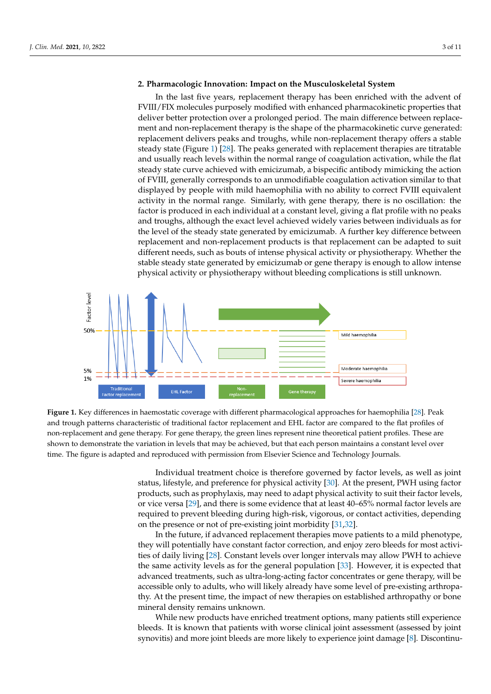# 2. Pharmacologic Innovation: Impact on the Musculoskeletal System

In the last five years, replacement therapy has been enriched with the advent of FVIII/FIX molecules purposely modified with enhanced pharmacokinetic properties that<br>delivery half-pharmacokinetic curve generated: The pharmacokinetic curve generated: deliver better protection over a prolonged period. The main difference between replace-<br>replacement and troughs and troughs, while non-replacement therapy of the above a stable in survey assembled ment and non-replacement therapy is the shape of the pharmacokinetic curve generated:<br>state (Figure 1) and the peaks while non-replacement therapies are title replacement delivers peaks and troughs, while non-replacement therapy offers a stable steady state (Figure [1\)](#page-2-0) [\[28\]](#page-9-12). The peaks generated with replacement therapies are titratable steady state (right)  $\frac{1}{2}$ . The peaks generated with replacement distributed with the action activation, while the flat steady state curve achieved with emicizumab, a bispecific antibody mimicking the action of FVIII, generally corresponds to an unmodifiable coagulation activation similar to that displayed by people with mild haemophilia with no ability to correct FVIII equivalent activity in the normal range. Similarly, with gene therapy, there is no oscillation: the factor is produced in each individual at a constant level, giving a flat profile with no peaks and troughs, although the exact level achieved widely varies between individuals as for the level of the steady state generated by emicizumab. A further key difference between replacement and non-replacement products is that replacement can be adapted to suit different needs, such as bouts of intense physical activity or physiotherapy. Whether the stable steady state generated by emicizumab or gene therapy is enough to allow intense physical activity or physiotherapy without bleeding complications is still unknown. deliver between protection over a product between replace-

<span id="page-2-0"></span>

and trough patterns characteristic of traditional factor replacement and EHL factor are compared to the flat profiles of non-replacement and gene therapy. For gene therapy, the green lines represent nine theoretical patient profiles. These are shown to demonstrate the variation in levels that may be achieved, but that each person maintains a constant level over time. The figure is adapted and reproduced with permission from Elsevier Science and Technology Journals.  $\sim$  The figure is adapted and reproduced with permission  $\sim$   $\sim$ **Figure 1.** Key differences in haemostatic coverage with different pharmacological approaches for haemophilia [\[28\]](#page-9-12). Peak

status, lifestyle, and preference for physical activity [\[30\]](#page-9-14). At the present, PWH using factor products, such as prophylaxis, may need to adapt physical activity to suit their factor levels, or vice versa [\[29\]](#page-9-13), and there is some evidence that at least 40–65% normal factor levels are required to prevent bleeding during high-risk, vigorous, or contact activities, depending on the presence or not of pre-existing joint morbidity [31[,32\]](#page-9-16). Individual treatment choice is therefore governed by factor levels, as well as joint

In the future, if advanced replacement therapies move patients to a mild phenotype, they will potentially have constant factor correction, and enjoy zero bleeds for most activities of daily living [28]. Constant levels over longer intervals may allow PWH to achieve the same activity levels as for the general population [33]. However, it is expected that advanced treatments, such as ultra-long-acting factor concentrates or gene therapy, will be accessible only to adults, who will likely already have some level of pre-existing arthropathy. At the present time, the impact of new therapies on established arthropathy or bone mineral density remains unknown.

While new products have enriched treatment options, many patients still experience bleeds. It is known that patients with worse clinical joint assessment (assessed by joint synovitis) and more joint bleeds are more likely to experience joint damage [\[8\]](#page-8-5). Discontinu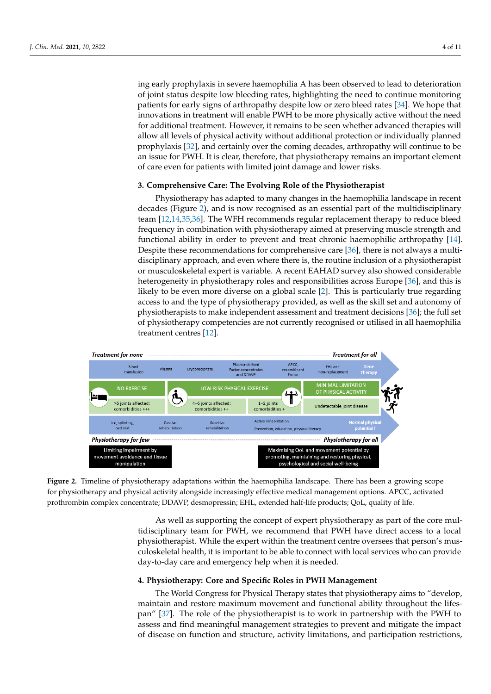ing early prophylaxis in severe haemophilia A has been observed to lead to deterioration of joint status despite low bleeding rates, highlighting the need to continue monitoring patients for early signs of arthropathy despite low or zero bleed rates [\[34\]](#page-9-18). We hope that innovations in treatment will enable PWH to be more physically active without the need for additional treatment. However, it remains to be seen whether advanced therapies will allow all levels of physical activity without additional protection or individually planned prophylaxis [\[32\]](#page-9-16), and certainly over the coming decades, arthropathy will continue to be an issue for PWH. It is clear, therefore, that physiotherapy remains an important element of care even for patients with limited joint damage and lower risks.

# 3. Comprehensive Care: The Evolving Role of the Physiotherapist **3. Comprehensive Care: The Evolving Role of the Physiotherapist**

Physiotherapy has adapted to many changes in the haemophilia landscape in recent decades (Figure 2), and is now recognised as an essential part of the multidisciplinary team  $[12,14,35,36]$  $[12,14,35,36]$  $[12,14,35,36]$  $[12,14,35,36]$ . The WFH recommends regular replacement therapy to reduce bleed frequency in combination with physiotherapy aimed at preserving muscle strength and functional ability in order to prevent and treat chronic haemophilic arthropathy [\[14\]](#page-8-11). Despite these recommendations for comprehensive care  $[36]$ , there is not always a multidisciplinary approach, and even where there is, the routine inclusion of a physiotherapist or musculoskeletal expert is variable. A recent EAHAD survey also showed considerable heterogeneity in physiotherapy roles and responsibilities across Europe [\[36\]](#page-9-20), and this is likely to be even more diverse on a global scale [\[2\]](#page-8-1). This is particularly true regarding access to and the type of physiotherapy provided, as well as the skill set and autonomy of physiotherapists to make independent assessment and treatment decisions [\[36\]](#page-9-20); the full set of physiotherapy competencies are not currently recognised or utilised in all haemophilia treatment centres [\[12\]](#page-8-10).

<span id="page-3-0"></span>

for physiotherapy and physical activity alongside increasingly effective medical management options. APCC, activated physiotherapy and physical activity  $\sum_{i=1}^{n}$  along physical medical medical management options. Along physical management options. Along prothrombin complex concentrate; DDAVP, desmopressin; EHL, extended half-life products; QoL, quality of life. prothrombin complex concentrate; DDAVP, desmopressin; EHL, extended half-life products; QoL, quality of life. **Figure 2.** Timeline of physiotherapy adaptations within the haemophilia landscape. There has been a growing scope

tidisciplinary team for PWH, we recommend that PWH have direct access to a local physiotherapist. While the expert within the treatment centre oversees that person's musculoskeletal health, it is important to be able to connect with local services who can provide day-to-day care and emergency help when it is needed. day-to-day care and emergency help when it is needed. As well as supporting the concept of expert physiotherapy as part of the core mul-

# **4. Physiotherapy: Core and Specific Roles in PWH Management**

The World Congress for Physical Therapy states that physiotherapy aims to "develop, maintain and restore maximum movement and functional ability throughout the lifespan" [\[37\]](#page-9-21). The role of the physiotherapist is to work in partnership with the PWH to assess and find meaningful management strategies to prevent and mitigate the impact of disease on function and structure, activity limitations, and participation restrictions,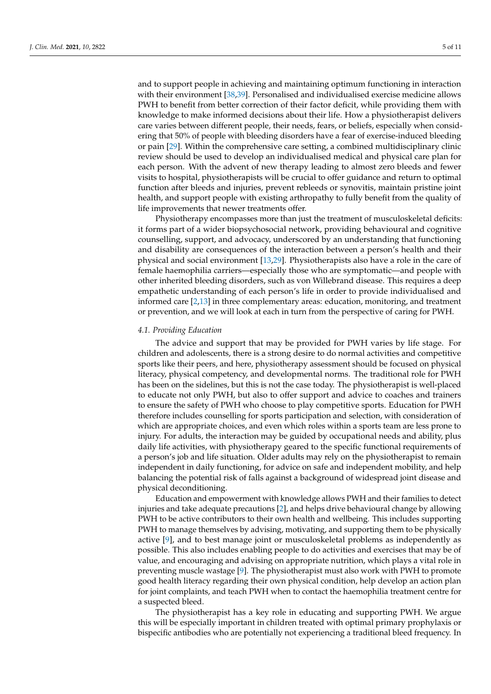and to support people in achieving and maintaining optimum functioning in interaction with their environment [\[38](#page-9-22)[,39\]](#page-10-0). Personalised and individualised exercise medicine allows PWH to benefit from better correction of their factor deficit, while providing them with knowledge to make informed decisions about their life. How a physiotherapist delivers care varies between different people, their needs, fears, or beliefs, especially when considering that 50% of people with bleeding disorders have a fear of exercise-induced bleeding or pain [\[29\]](#page-9-13). Within the comprehensive care setting, a combined multidisciplinary clinic review should be used to develop an individualised medical and physical care plan for each person. With the advent of new therapy leading to almost zero bleeds and fewer visits to hospital, physiotherapists will be crucial to offer guidance and return to optimal function after bleeds and injuries, prevent rebleeds or synovitis, maintain pristine joint health, and support people with existing arthropathy to fully benefit from the quality of life improvements that newer treatments offer.

Physiotherapy encompasses more than just the treatment of musculoskeletal deficits: it forms part of a wider biopsychosocial network, providing behavioural and cognitive counselling, support, and advocacy, underscored by an understanding that functioning and disability are consequences of the interaction between a person's health and their physical and social environment [\[13,](#page-8-12)[29\]](#page-9-13). Physiotherapists also have a role in the care of female haemophilia carriers—especially those who are symptomatic—and people with other inherited bleeding disorders, such as von Willebrand disease. This requires a deep empathetic understanding of each person's life in order to provide individualised and informed care [\[2](#page-8-1)[,13\]](#page-8-12) in three complementary areas: education, monitoring, and treatment or prevention, and we will look at each in turn from the perspective of caring for PWH.

### *4.1. Providing Education*

The advice and support that may be provided for PWH varies by life stage. For children and adolescents, there is a strong desire to do normal activities and competitive sports like their peers, and here, physiotherapy assessment should be focused on physical literacy, physical competency, and developmental norms. The traditional role for PWH has been on the sidelines, but this is not the case today. The physiotherapist is well-placed to educate not only PWH, but also to offer support and advice to coaches and trainers to ensure the safety of PWH who choose to play competitive sports. Education for PWH therefore includes counselling for sports participation and selection, with consideration of which are appropriate choices, and even which roles within a sports team are less prone to injury. For adults, the interaction may be guided by occupational needs and ability, plus daily life activities, with physiotherapy geared to the specific functional requirements of a person's job and life situation. Older adults may rely on the physiotherapist to remain independent in daily functioning, for advice on safe and independent mobility, and help balancing the potential risk of falls against a background of widespread joint disease and physical deconditioning.

Education and empowerment with knowledge allows PWH and their families to detect injuries and take adequate precautions [\[2\]](#page-8-1), and helps drive behavioural change by allowing PWH to be active contributors to their own health and wellbeing. This includes supporting PWH to manage themselves by advising, motivating, and supporting them to be physically active [\[9\]](#page-8-6), and to best manage joint or musculoskeletal problems as independently as possible. This also includes enabling people to do activities and exercises that may be of value, and encouraging and advising on appropriate nutrition, which plays a vital role in preventing muscle wastage [\[9\]](#page-8-6). The physiotherapist must also work with PWH to promote good health literacy regarding their own physical condition, help develop an action plan for joint complaints, and teach PWH when to contact the haemophilia treatment centre for a suspected bleed.

The physiotherapist has a key role in educating and supporting PWH. We argue this will be especially important in children treated with optimal primary prophylaxis or bispecific antibodies who are potentially not experiencing a traditional bleed frequency. In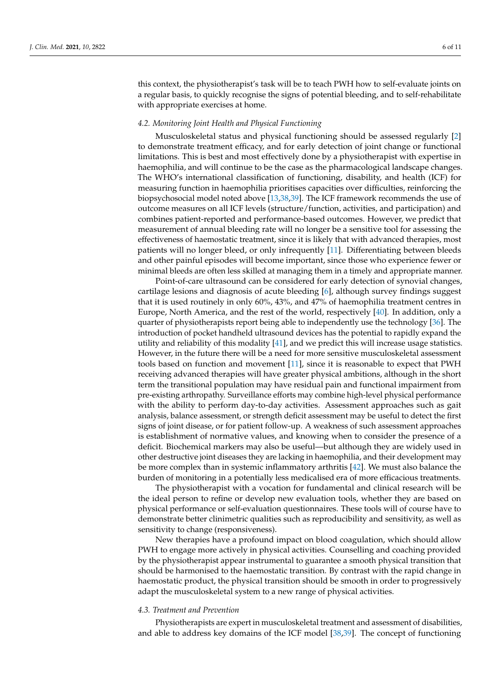this context, the physiotherapist's task will be to teach PWH how to self-evaluate joints on a regular basis, to quickly recognise the signs of potential bleeding, and to self-rehabilitate with appropriate exercises at home.

#### *4.2. Monitoring Joint Health and Physical Functioning*

Musculoskeletal status and physical functioning should be assessed regularly [\[2\]](#page-8-1) to demonstrate treatment efficacy, and for early detection of joint change or functional limitations. This is best and most effectively done by a physiotherapist with expertise in haemophilia, and will continue to be the case as the pharmacological landscape changes. The WHO's international classification of functioning, disability, and health (ICF) for measuring function in haemophilia prioritises capacities over difficulties, reinforcing the biopsychosocial model noted above [\[13,](#page-8-12)[38,](#page-9-22)[39\]](#page-10-0). The ICF framework recommends the use of outcome measures on all ICF levels (structure/function, activities, and participation) and combines patient-reported and performance-based outcomes. However, we predict that measurement of annual bleeding rate will no longer be a sensitive tool for assessing the effectiveness of haemostatic treatment, since it is likely that with advanced therapies, most patients will no longer bleed, or only infrequently [\[11\]](#page-8-9). Differentiating between bleeds and other painful episodes will become important, since those who experience fewer or minimal bleeds are often less skilled at managing them in a timely and appropriate manner.

Point-of-care ultrasound can be considered for early detection of synovial changes, cartilage lesions and diagnosis of acute bleeding [\[6\]](#page-8-8), although survey findings suggest that it is used routinely in only 60%, 43%, and 47% of haemophilia treatment centres in Europe, North America, and the rest of the world, respectively [\[40\]](#page-10-1). In addition, only a quarter of physiotherapists report being able to independently use the technology [\[36\]](#page-9-20). The introduction of pocket handheld ultrasound devices has the potential to rapidly expand the utility and reliability of this modality [\[41\]](#page-10-2), and we predict this will increase usage statistics. However, in the future there will be a need for more sensitive musculoskeletal assessment tools based on function and movement [\[11\]](#page-8-9), since it is reasonable to expect that PWH receiving advanced therapies will have greater physical ambitions, although in the short term the transitional population may have residual pain and functional impairment from pre-existing arthropathy. Surveillance efforts may combine high-level physical performance with the ability to perform day-to-day activities. Assessment approaches such as gait analysis, balance assessment, or strength deficit assessment may be useful to detect the first signs of joint disease, or for patient follow-up. A weakness of such assessment approaches is establishment of normative values, and knowing when to consider the presence of a deficit. Biochemical markers may also be useful—but although they are widely used in other destructive joint diseases they are lacking in haemophilia, and their development may be more complex than in systemic inflammatory arthritis [\[42\]](#page-10-3). We must also balance the burden of monitoring in a potentially less medicalised era of more efficacious treatments.

The physiotherapist with a vocation for fundamental and clinical research will be the ideal person to refine or develop new evaluation tools, whether they are based on physical performance or self-evaluation questionnaires. These tools will of course have to demonstrate better clinimetric qualities such as reproducibility and sensitivity, as well as sensitivity to change (responsiveness).

New therapies have a profound impact on blood coagulation, which should allow PWH to engage more actively in physical activities. Counselling and coaching provided by the physiotherapist appear instrumental to guarantee a smooth physical transition that should be harmonised to the haemostatic transition. By contrast with the rapid change in haemostatic product, the physical transition should be smooth in order to progressively adapt the musculoskeletal system to a new range of physical activities.

#### *4.3. Treatment and Prevention*

Physiotherapists are expert in musculoskeletal treatment and assessment of disabilities, and able to address key domains of the ICF model [\[38](#page-9-22)[,39\]](#page-10-0). The concept of functioning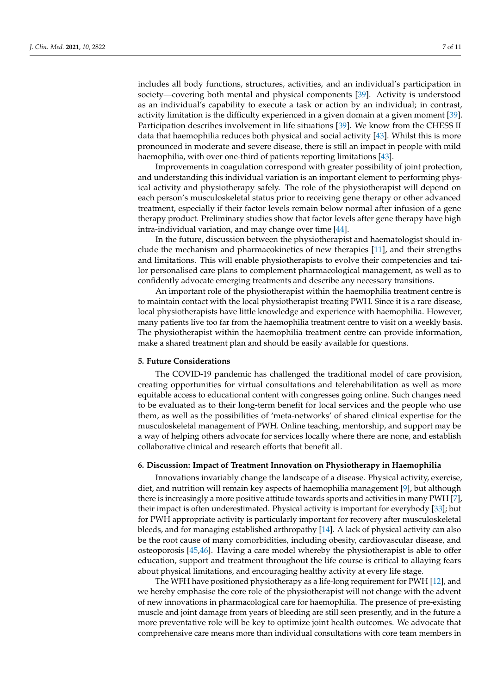includes all body functions, structures, activities, and an individual's participation in society—covering both mental and physical components [\[39\]](#page-10-0). Activity is understood as an individual's capability to execute a task or action by an individual; in contrast, activity limitation is the difficulty experienced in a given domain at a given moment [\[39\]](#page-10-0). Participation describes involvement in life situations [\[39\]](#page-10-0). We know from the CHESS II data that haemophilia reduces both physical and social activity [\[43\]](#page-10-4). Whilst this is more pronounced in moderate and severe disease, there is still an impact in people with mild haemophilia, with over one-third of patients reporting limitations [\[43\]](#page-10-4).

Improvements in coagulation correspond with greater possibility of joint protection, and understanding this individual variation is an important element to performing physical activity and physiotherapy safely. The role of the physiotherapist will depend on each person's musculoskeletal status prior to receiving gene therapy or other advanced treatment, especially if their factor levels remain below normal after infusion of a gene therapy product. Preliminary studies show that factor levels after gene therapy have high intra-individual variation, and may change over time [\[44\]](#page-10-5).

In the future, discussion between the physiotherapist and haematologist should include the mechanism and pharmacokinetics of new therapies [\[11\]](#page-8-9), and their strengths and limitations. This will enable physiotherapists to evolve their competencies and tailor personalised care plans to complement pharmacological management, as well as to confidently advocate emerging treatments and describe any necessary transitions.

An important role of the physiotherapist within the haemophilia treatment centre is to maintain contact with the local physiotherapist treating PWH. Since it is a rare disease, local physiotherapists have little knowledge and experience with haemophilia. However, many patients live too far from the haemophilia treatment centre to visit on a weekly basis. The physiotherapist within the haemophilia treatment centre can provide information, make a shared treatment plan and should be easily available for questions.

### **5. Future Considerations**

The COVID-19 pandemic has challenged the traditional model of care provision, creating opportunities for virtual consultations and telerehabilitation as well as more equitable access to educational content with congresses going online. Such changes need to be evaluated as to their long-term benefit for local services and the people who use them, as well as the possibilities of 'meta-networks' of shared clinical expertise for the musculoskeletal management of PWH. Online teaching, mentorship, and support may be a way of helping others advocate for services locally where there are none, and establish collaborative clinical and research efforts that benefit all.

# **6. Discussion: Impact of Treatment Innovation on Physiotherapy in Haemophilia**

Innovations invariably change the landscape of a disease. Physical activity, exercise, diet, and nutrition will remain key aspects of haemophilia management [\[9\]](#page-8-6), but although there is increasingly a more positive attitude towards sports and activities in many PWH [\[7\]](#page-8-13), their impact is often underestimated. Physical activity is important for everybody [\[33\]](#page-9-17); but for PWH appropriate activity is particularly important for recovery after musculoskeletal bleeds, and for managing established arthropathy [\[14\]](#page-8-11). A lack of physical activity can also be the root cause of many comorbidities, including obesity, cardiovascular disease, and osteoporosis [\[45](#page-10-6)[,46\]](#page-10-7). Having a care model whereby the physiotherapist is able to offer education, support and treatment throughout the life course is critical to allaying fears about physical limitations, and encouraging healthy activity at every life stage.

The WFH have positioned physiotherapy as a life-long requirement for PWH [\[12\]](#page-8-10), and we hereby emphasise the core role of the physiotherapist will not change with the advent of new innovations in pharmacological care for haemophilia. The presence of pre-existing muscle and joint damage from years of bleeding are still seen presently, and in the future a more preventative role will be key to optimize joint health outcomes. We advocate that comprehensive care means more than individual consultations with core team members in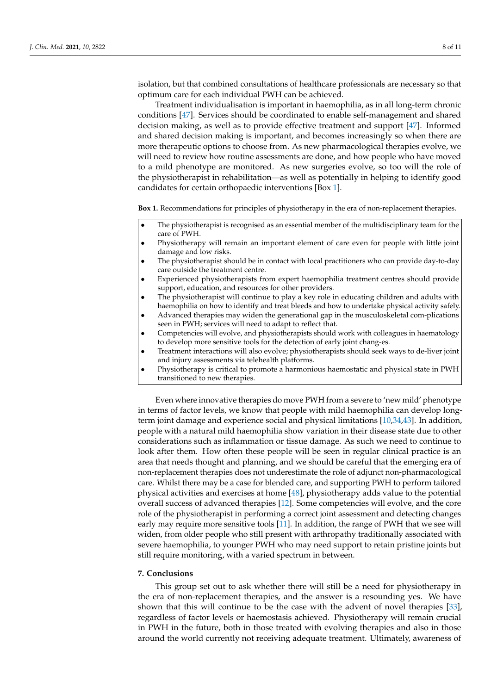isolation, but that combined consultations of healthcare professionals are necessary so that optimum care for each individual PWH can be achieved.

Treatment individualisation is important in haemophilia, as in all long-term chronic conditions [\[47\]](#page-10-8). Services should be coordinated to enable self-management and shared decision making, as well as to provide effective treatment and support [\[47\]](#page-10-8). Informed and shared decision making is important, and becomes increasingly so when there are more therapeutic options to choose from. As new pharmacological therapies evolve, we will need to review how routine assessments are done, and how people who have moved to a mild phenotype are monitored. As new surgeries evolve, so too will the role of the physiotherapist in rehabilitation—as well as potentially in helping to identify good candidates for certain orthopaedic interventions [Box [1\]](#page-7-0).

**Box 1.** Recommendations for principles of physiotherapy in the era of non-replacement therapies.

- The physiotherapist is recognised as an essential member of the multidisciplinary team for the care of PWH.
- Physiotherapy will remain an important element of care even for people with little joint damage and low risks.
- The physiotherapist should be in contact with local practitioners who can provide day-to-day care outside the treatment centre.
- Experienced physiotherapists from expert haemophilia treatment centres should provide support, education, and resources for other providers.
- The physiotherapist will continue to play a key role in educating children and adults with haemophilia on how to identify and treat bleeds and how to undertake physical activity safely.
- Advanced therapies may widen the generational gap in the musculoskeletal com-plications seen in PWH; services will need to adapt to reflect that.
- Competencies will evolve, and physiotherapists should work with colleagues in haematology to develop more sensitive tools for the detection of early joint chang-es.
- Treatment interactions will also evolve; physiotherapists should seek ways to de-liver joint and injury assessments via telehealth platforms.
- <span id="page-7-0"></span>• Physiotherapy is critical to promote a harmonious haemostatic and physical state in PWH transitioned to new therapies.

Even where innovative therapies do move PWH from a severe to 'new mild' phenotype in terms of factor levels, we know that people with mild haemophilia can develop longterm joint damage and experience social and physical limitations [\[10](#page-8-7)[,34](#page-9-18)[,43\]](#page-10-4). In addition, people with a natural mild haemophilia show variation in their disease state due to other considerations such as inflammation or tissue damage. As such we need to continue to look after them. How often these people will be seen in regular clinical practice is an area that needs thought and planning, and we should be careful that the emerging era of non-replacement therapies does not underestimate the role of adjunct non-pharmacological care. Whilst there may be a case for blended care, and supporting PWH to perform tailored physical activities and exercises at home [\[48\]](#page-10-9), physiotherapy adds value to the potential overall success of advanced therapies [\[12\]](#page-8-10). Some competencies will evolve, and the core role of the physiotherapist in performing a correct joint assessment and detecting changes early may require more sensitive tools [\[11\]](#page-8-9). In addition, the range of PWH that we see will widen, from older people who still present with arthropathy traditionally associated with severe haemophilia, to younger PWH who may need support to retain pristine joints but still require monitoring, with a varied spectrum in between.

# **7. Conclusions**

This group set out to ask whether there will still be a need for physiotherapy in the era of non-replacement therapies, and the answer is a resounding yes. We have shown that this will continue to be the case with the advent of novel therapies [\[33\]](#page-9-17), regardless of factor levels or haemostasis achieved. Physiotherapy will remain crucial in PWH in the future, both in those treated with evolving therapies and also in those around the world currently not receiving adequate treatment. Ultimately, awareness of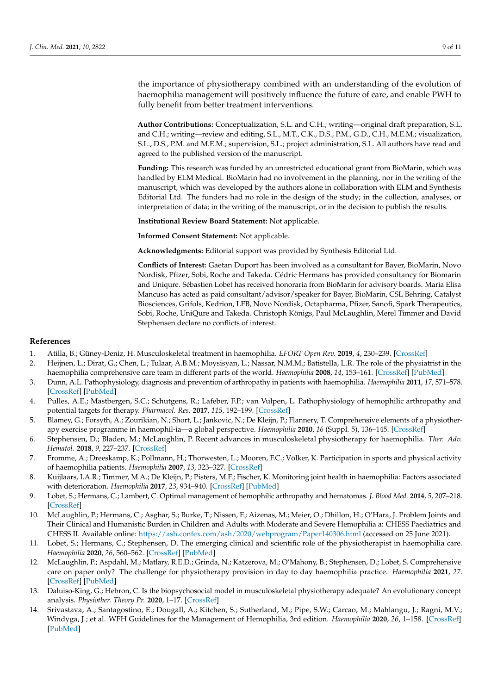the importance of physiotherapy combined with an understanding of the evolution of haemophilia management will positively influence the future of care, and enable PWH to fully benefit from better treatment interventions.

**Author Contributions:** Conceptualization, S.L. and C.H.; writing—original draft preparation, S.L. and C.H.; writing—review and editing, S.L., M.T., C.K., D.S., P.M., G.D., C.H., M.E.M.; visualization, S.L., D.S., P.M. and M.E.M.; supervision, S.L.; project administration, S.L. All authors have read and agreed to the published version of the manuscript.

**Funding:** This research was funded by an unrestricted educational grant from BioMarin, which was handled by ELM Medical. BioMarin had no involvement in the planning, nor in the writing of the manuscript, which was developed by the authors alone in collaboration with ELM and Synthesis Editorial Ltd. The funders had no role in the design of the study; in the collection, analyses, or interpretation of data; in the writing of the manuscript, or in the decision to publish the results.

**Institutional Review Board Statement:** Not applicable.

**Informed Consent Statement:** Not applicable.

**Acknowledgments:** Editorial support was provided by Synthesis Editorial Ltd.

**Conflicts of Interest:** Gaetan Duport has been involved as a consultant for Bayer, BioMarin, Novo Nordisk, Pfizer, Sobi, Roche and Takeda. Cédric Hermans has provided consultancy for Biomarin and Uniqure. Sébastien Lobet has received honoraria from BioMarin for advisory boards. Maria Elisa Mancuso has acted as paid consultant/advisor/speaker for Bayer, BioMarin, CSL Behring, Catalyst Biosciences, Grifols, Kedrion, LFB, Novo Nordisk, Octapharma, Pfizer, Sanofi, Spark Therapeutics, Sobi, Roche, UniQure and Takeda. Christoph Königs, Paul McLaughlin, Merel Timmer and David Stephensen declare no conflicts of interest.

#### **References**

- <span id="page-8-0"></span>1. Atilla, B.; Güney-Deniz, H. Musculoskeletal treatment in haemophilia. *EFORT Open Rev.* **2019**, *4*, 230–239. [\[CrossRef\]](http://doi.org/10.1302/2058-5241.4.180068)
- <span id="page-8-1"></span>2. Heijnen, L.; Dirat, G.; Chen, L.; Tulaar, A.B.M.; Moysisyan, L.; Nassar, N.M.M.; Batistella, L.R. The role of the physiatrist in the haemophilia comprehensive care team in different parts of the world. *Haemophilia* **2008**, *14*, 153–161. [\[CrossRef\]](http://doi.org/10.1111/j.1365-2516.2008.01743.x) [\[PubMed\]](http://www.ncbi.nlm.nih.gov/pubmed/18510536)
- <span id="page-8-2"></span>3. Dunn, A.L. Pathophysiology, diagnosis and prevention of arthropathy in patients with haemophilia. *Haemophilia* **2011**, *17*, 571–578. [\[CrossRef\]](http://doi.org/10.1111/j.1365-2516.2010.02472.x) [\[PubMed\]](http://www.ncbi.nlm.nih.gov/pubmed/21342365)
- <span id="page-8-3"></span>4. Pulles, A.E.; Mastbergen, S.C.; Schutgens, R.; Lafeber, F.P.; van Vulpen, L. Pathophysiology of hemophilic arthropathy and potential targets for therapy. *Pharmacol. Res.* **2017**, *115*, 192–199. [\[CrossRef\]](http://doi.org/10.1016/j.phrs.2016.11.032)
- <span id="page-8-4"></span>5. Blamey, G.; Forsyth, A.; Zourikian, N.; Short, L.; Jankovic, N.; De Kleijn, P.; Flannery, T. Comprehensive elements of a physiotherapy exercise programme in haemophil-ia—a global perspective. *Haemophilia* **2010**, *16* (Suppl. 5), 136–145. [\[CrossRef\]](http://doi.org/10.1111/j.1365-2516.2010.02312.x)
- <span id="page-8-8"></span>6. Stephensen, D.; Bladen, M.; McLaughlin, P. Recent advances in musculoskeletal physiotherapy for haemophilia. *Ther. Adv. Hematol.* **2018**, *9*, 227–237. [\[CrossRef\]](http://doi.org/10.1177/2040620718784834)
- <span id="page-8-13"></span>7. Fromme, A.; Dreeskamp, K.; Pollmann, H.; Thorwesten, L.; Mooren, F.C.; Völker, K. Participation in sports and physical activity of haemophilia patients. *Haemophilia* **2007**, *13*, 323–327. [\[CrossRef\]](http://doi.org/10.1111/j.1365-2516.2007.01456.x)
- <span id="page-8-5"></span>8. Kuijlaars, I.A.R.; Timmer, M.A.; De Kleijn, P.; Pisters, M.F.; Fischer, K. Monitoring joint health in haemophilia: Factors associated with deterioration. *Haemophilia* **2017**, *23*, 934–940. [\[CrossRef\]](http://doi.org/10.1111/hae.13327) [\[PubMed\]](http://www.ncbi.nlm.nih.gov/pubmed/28873289)
- <span id="page-8-6"></span>9. Lobet, S.; Hermans, C.; Lambert, C. Optimal management of hemophilic arthropathy and hematomas. *J. Blood Med.* **2014**, *5*, 207–218. [\[CrossRef\]](http://doi.org/10.2147/JBM.S50644)
- <span id="page-8-7"></span>10. McLaughlin, P.; Hermans, C.; Asghar, S.; Burke, T.; Nissen, F.; Aizenas, M.; Meier, O.; Dhillon, H.; O'Hara, J. Problem Joints and Their Clinical and Humanistic Burden in Children and Adults with Moderate and Severe Hemophilia a: CHESS Paediatrics and CHESS II. Available online: <https://ash.confex.com/ash/2020/webprogram/Paper140306.html> (accessed on 25 June 2021).
- <span id="page-8-9"></span>Lobet, S.; Hermans, C.; Stephensen, D. The emerging clinical and scientific role of the physiotherapist in haemophilia care. *Haemophilia* **2020**, *26*, 560–562. [\[CrossRef\]](http://doi.org/10.1111/hae.14096) [\[PubMed\]](http://www.ncbi.nlm.nih.gov/pubmed/32741038)
- <span id="page-8-10"></span>12. McLaughlin, P.; Aspdahl, M.; Matlary, R.E.D.; Grinda, N.; Katzerova, M.; O'Mahony, B.; Stephensen, D.; Lobet, S. Comprehensive care on paper only? The challenge for physiotherapy provision in day to day haemophilia practice. *Haemophilia* **2021**, *27*. [\[CrossRef\]](http://doi.org/10.1111/hae.14150) [\[PubMed\]](http://www.ncbi.nlm.nih.gov/pubmed/33012135)
- <span id="page-8-12"></span>13. Daluiso-King, G.; Hebron, C. Is the biopsychosocial model in musculoskeletal physiotherapy adequate? An evolutionary concept analysis. *Physiother. Theory Pr.* **2020**, 1–17. [\[CrossRef\]](http://doi.org/10.1080/09593985.2020.1765440)
- <span id="page-8-11"></span>14. Srivastava, A.; Santagostino, E.; Dougall, A.; Kitchen, S.; Sutherland, M.; Pipe, S.W.; Carcao, M.; Mahlangu, J.; Ragni, M.V.; Windyga, J.; et al. WFH Guidelines for the Management of Hemophilia, 3rd edition. *Haemophilia* **2020**, *26*, 1–158. [\[CrossRef\]](http://doi.org/10.1111/hae.14046) [\[PubMed\]](http://www.ncbi.nlm.nih.gov/pubmed/32744769)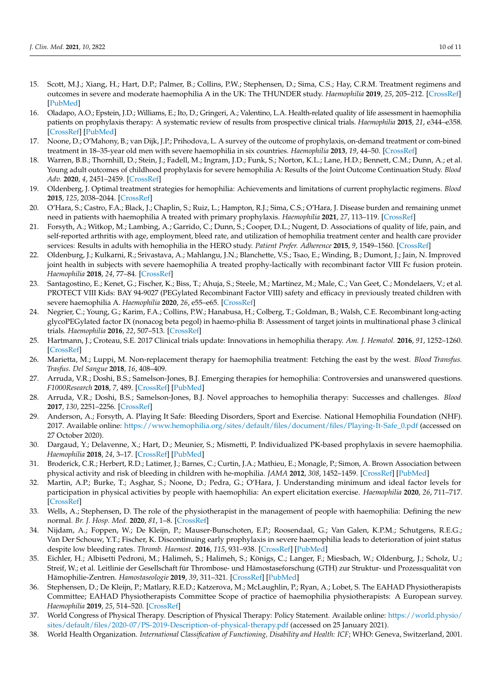- <span id="page-9-0"></span>15. Scott, M.J.; Xiang, H.; Hart, D.P.; Palmer, B.; Collins, P.W.; Stephensen, D.; Sima, C.S.; Hay, C.R.M. Treatment regimens and outcomes in severe and moderate haemophilia A in the UK: The THUNDER study. *Haemophilia* **2019**, *25*, 205–212. [\[CrossRef\]](http://doi.org/10.1111/hae.13616) [\[PubMed\]](http://www.ncbi.nlm.nih.gov/pubmed/30408835)
- <span id="page-9-1"></span>16. Oladapo, A.O.; Epstein, J.D.; Williams, E.; Ito, D.; Gringeri, A.; Valentino, L.A. Health-related quality of life assessment in haemophilia patients on prophylaxis therapy: A systematic review of results from prospective clinical trials. *Haemophilia* **2015**, *21*, e344–e358. [\[CrossRef\]](http://doi.org/10.1111/hae.12759) [\[PubMed\]](http://www.ncbi.nlm.nih.gov/pubmed/26390060)
- <span id="page-9-2"></span>17. Noone, D.; O'Mahony, B.; van Dijk, J.P.; Prihodova, L. A survey of the outcome of prophylaxis, on-demand treatment or com-bined treatment in 18–35-year old men with severe haemophilia in six countries. *Haemophilia* **2013**, *19*, 44–50. [\[CrossRef\]](http://doi.org/10.1111/j.1365-2516.2012.02934.x)
- <span id="page-9-3"></span>18. Warren, B.B.; Thornhill, D.; Stein, J.; Fadell, M.; Ingram, J.D.; Funk, S.; Norton, K.L.; Lane, H.D.; Bennett, C.M.; Dunn, A.; et al. Young adult outcomes of childhood prophylaxis for severe hemophilia A: Results of the Joint Outcome Continuation Study. *Blood Adv.* **2020**, *4*, 2451–2459. [\[CrossRef\]](http://doi.org/10.1182/bloodadvances.2019001311)
- <span id="page-9-4"></span>19. Oldenberg, J. Optimal treatment strategies for hemophilia: Achievements and limitations of current prophylactic regimens. *Blood* **2015**, *125*, 2038–2044. [\[CrossRef\]](http://doi.org/10.1182/blood-2015-01-528414)
- <span id="page-9-5"></span>20. O'Hara, S.; Castro, F.A.; Black, J.; Chaplin, S.; Ruiz, L.; Hampton, R.J.; Sima, C.S.; O'Hara, J. Disease burden and remaining unmet need in patients with haemophilia A treated with primary prophylaxis. *Haemophilia* **2021**, *27*, 113–119. [\[CrossRef\]](http://doi.org/10.1111/hae.14171)
- <span id="page-9-6"></span>21. Forsyth, A.; Witkop, M.; Lambing, A.; Garrido, C.; Dunn, S.; Cooper, D.L.; Nugent, D. Associations of quality of life, pain, and self-reported arthritis with age, employment, bleed rate, and utilization of hemophilia treatment center and health care provider services: Results in adults with hemophilia in the HERO study. *Patient Prefer. Adherence* **2015**, *9*, 1549–1560. [\[CrossRef\]](http://doi.org/10.2147/PPA.S87659)
- <span id="page-9-7"></span>22. Oldenburg, J.; Kulkarni, R.; Srivastava, A.; Mahlangu, J.N.; Blanchette, V.S.; Tsao, E.; Winding, B.; Dumont, J.; Jain, N. Improved joint health in subjects with severe haemophilia A treated prophy-lactically with recombinant factor VIII Fc fusion protein. *Haemophilia* **2018**, *24*, 77–84. [\[CrossRef\]](http://doi.org/10.1111/hae.13353)
- <span id="page-9-8"></span>23. Santagostino, E.; Kenet, G.; Fischer, K.; Biss, T.; Ahuja, S.; Steele, M.; Martínez, M.; Male, C.; Van Geet, C.; Mondelaers, V.; et al. PROTECT VIII Kids: BAY 94-9027 (PEGylated Recombinant Factor VIII) safety and efficacy in previously treated children with severe haemophilia A. *Haemophilia* **2020**, *26*, e55–e65. [\[CrossRef\]](http://doi.org/10.1111/hae.13963)
- <span id="page-9-9"></span>24. Negrier, C.; Young, G.; Karim, F.A.; Collins, P.W.; Hanabusa, H.; Colberg, T.; Goldman, B.; Walsh, C.E. Recombinant long-acting glycoPEGylated factor IX (nonacog beta pegol) in haemo-philia B: Assessment of target joints in multinational phase 3 clinical trials. *Haemophilia* **2016**, *22*, 507–513. [\[CrossRef\]](http://doi.org/10.1111/hae.12902)
- <span id="page-9-10"></span>25. Hartmann, J.; Croteau, S.E. 2017 Clinical trials update: Innovations in hemophilia therapy. *Am. J. Hematol.* **2016**, *91*, 1252–1260. [\[CrossRef\]](http://doi.org/10.1002/ajh.24543)
- <span id="page-9-11"></span>26. Marietta, M.; Luppi, M. Non-replacement therapy for haemophilia treatment: Fetching the east by the west. *Blood Transfus. Trasfus. Del Sangue* **2018**, *16*, 408–409.
- 27. Arruda, V.R.; Doshi, B.S.; Samelson-Jones, B.J. Emerging therapies for hemophilia: Controversies and unanswered questions. *F1000Research* **2018**, *7*, 489. [\[CrossRef\]](http://doi.org/10.12688/f1000research.12491.1) [\[PubMed\]](http://www.ncbi.nlm.nih.gov/pubmed/29770199)
- <span id="page-9-12"></span>28. Arruda, V.R.; Doshi, B.S.; Samelson-Jones, B.J. Novel approaches to hemophilia therapy: Successes and challenges. *Blood* **2017**, *130*, 2251–2256. [\[CrossRef\]](http://doi.org/10.1182/blood-2017-08-742312)
- <span id="page-9-13"></span>29. Anderson, A.; Forsyth, A. Playing It Safe: Bleeding Disorders, Sport and Exercise. National Hemophilia Foundation (NHF). 2017. Available online: [https://www.hemophilia.org/sites/default/files/document/files/Playing-It-Safe\\_0.pdf](https://www.hemophilia.org/sites/default/files/document/files/Playing-It-Safe_0.pdf) (accessed on 27 October 2020).
- <span id="page-9-14"></span>30. Dargaud, Y.; Delavenne, X.; Hart, D.; Meunier, S.; Mismetti, P. Individualized PK-based prophylaxis in severe haemophilia. *Haemophilia* **2018**, *24*, 3–17. [\[CrossRef\]](http://doi.org/10.1111/hae.13397) [\[PubMed\]](http://www.ncbi.nlm.nih.gov/pubmed/29543364)
- <span id="page-9-15"></span>31. Broderick, C.R.; Herbert, R.D.; Latimer, J.; Barnes, C.; Curtin, J.A.; Mathieu, E.; Monagle, P.; Simon, A. Brown Association between physical activity and risk of bleeding in children with he-mophilia. *JAMA* **2012**, *308*, 1452–1459. [\[CrossRef\]](http://doi.org/10.1001/jama.2012.12727) [\[PubMed\]](http://www.ncbi.nlm.nih.gov/pubmed/23047359)
- <span id="page-9-16"></span>32. Martin, A.P.; Burke, T.; Asghar, S.; Noone, D.; Pedra, G.; O'Hara, J. Understanding minimum and ideal factor levels for participation in physical activities by people with haemophilia: An expert elicitation exercise. *Haemophilia* **2020**, *26*, 711–717. [\[CrossRef\]](http://doi.org/10.1111/hae.13985)
- <span id="page-9-17"></span>33. Wells, A.; Stephensen, D. The role of the physiotherapist in the management of people with haemophilia: Defining the new normal. *Br. J. Hosp. Med.* **2020**, *81*, 1–8. [\[CrossRef\]](http://doi.org/10.12968/hmed.2020.0016)
- <span id="page-9-18"></span>34. Nijdam, A.; Foppen, W.; De Kleijn, P.; Mauser-Bunschoten, E.P.; Roosendaal, G.; Van Galen, K.P.M.; Schutgens, R.E.G.; Van Der Schouw, Y.T.; Fischer, K. Discontinuing early prophylaxis in severe haemophilia leads to deterioration of joint status despite low bleeding rates. *Thromb. Haemost.* **2016**, *115*, 931–938. [\[CrossRef\]](http://doi.org/10.1160/TH15-08-0637) [\[PubMed\]](http://www.ncbi.nlm.nih.gov/pubmed/26791021)
- <span id="page-9-19"></span>35. Eichler, H.; Albisetti Pedroni, M.; Halimeh, S.; Halimeh, S.; Königs, C.; Langer, F.; Miesbach, W.; Oldenburg, J.; Scholz, U.; Streif, W.; et al. Leitlinie der Gesellschaft für Thrombose- und Hämostaseforschung (GTH) zur Struktur- und Prozessqualität von Hämophilie-Zentren. *Hamostaseologie* **2019**, *39*, 311–321. [\[CrossRef\]](http://doi.org/10.1055/s-0039-1688450) [\[PubMed\]](http://www.ncbi.nlm.nih.gov/pubmed/31018219)
- <span id="page-9-20"></span>36. Stephensen, D.; De Kleijn, P.; Matlary, R.E.D.; Katzerova, M.; McLaughlin, P.; Ryan, A.; Lobet, S. The EAHAD Physiotherapists Committee; EAHAD Physiotherapists Committee Scope of practice of haemophilia physiotherapists: A European survey. *Haemophilia* **2019**, *25*, 514–520. [\[CrossRef\]](http://doi.org/10.1111/hae.13727)
- <span id="page-9-21"></span>37. World Congress of Physical Therapy. Description of Physical Therapy: Policy Statement. Available online: [https://world.physio/](https://world.physio/sites/default/files/2020-07/PS-2019-Description-of-physical-therapy.pdf) [sites/default/files/2020-07/PS-2019-Description-of-physical-therapy.pdf](https://world.physio/sites/default/files/2020-07/PS-2019-Description-of-physical-therapy.pdf) (accessed on 25 January 2021).
- <span id="page-9-22"></span>38. World Health Organization. *International Classification of Functioning, Disability and Health: ICF*; WHO: Geneva, Switzerland, 2001.